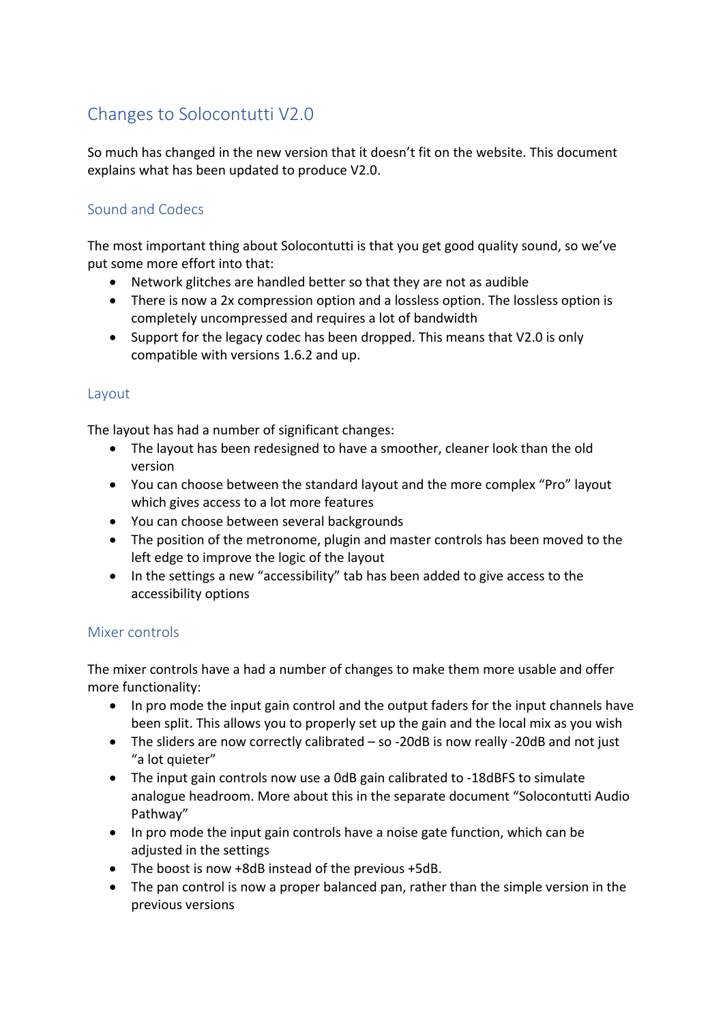# Changes to Solocontutti V2.0

So much has changed in the new version that it doesn't fit on the website. This document explains what has been updated to produce V2.0.

## Sound and Codecs

The most important thing about Solocontutti is that you get good quality sound, so we've put some more effort into that:

- Network glitches are handled better so that they are not as audible
- There is now a 2x compression option and a lossless option. The lossless option is completely uncompressed and requires a lot of bandwidth
- Support for the legacy codec has been dropped. This means that V2.0 is only compatible with versions 1.6.2 and up.

#### Layout

The layout has had a number of significant changes:

- The layout has been redesigned to have a smoother, cleaner look than the old version
- You can choose between the standard layout and the more complex "Pro" layout which gives access to a lot more features
- You can choose between several backgrounds
- The position of the metronome, plugin and master controls has been moved to the left edge to improve the logic of the layout
- In the settings a new "accessibility" tab has been added to give access to the accessibility options

#### Mixer controls

The mixer controls have a had a number of changes to make them more usable and offer more functionality:

- In pro mode the input gain control and the output faders for the input channels have been split. This allows you to properly set up the gain and the local mix as you wish
- The sliders are now correctly calibrated so -20dB is now really -20dB and not just "a lot quieter"
- The input gain controls now use a 0dB gain calibrated to -18dBFS to simulate analogue headroom. More about this in the separate document "Solocontutti Audio Pathway"
- In pro mode the input gain controls have a noise gate function, which can be adjusted in the settings
- The boost is now +8dB instead of the previous +5dB.
- The pan control is now a proper balanced pan, rather than the simple version in the previous versions